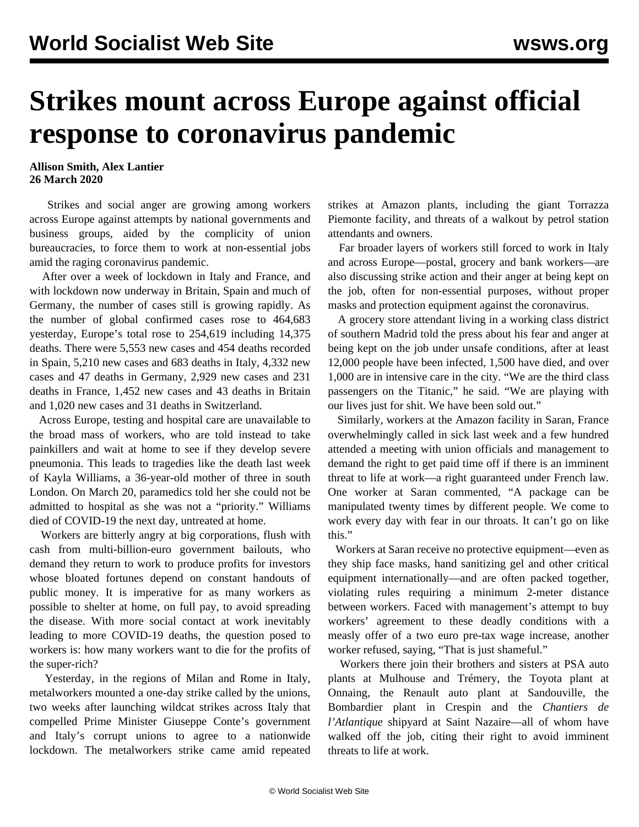## **Strikes mount across Europe against official response to coronavirus pandemic**

## **Allison Smith, Alex Lantier 26 March 2020**

 Strikes and social anger are growing among workers across Europe against attempts by national governments and business groups, aided by the complicity of union bureaucracies, to force them to work at non-essential jobs amid the raging coronavirus pandemic.

 After over a week of lockdown in Italy and France, and with lockdown now underway in Britain, Spain and much of Germany, the number of cases still is growing rapidly. As the number of global confirmed cases rose to 464,683 yesterday, Europe's total rose to 254,619 including 14,375 deaths. There were 5,553 new cases and 454 deaths recorded in Spain, 5,210 new cases and 683 deaths in Italy, 4,332 new cases and 47 deaths in Germany, 2,929 new cases and 231 deaths in France, 1,452 new cases and 43 deaths in Britain and 1,020 new cases and 31 deaths in Switzerland.

 Across Europe, testing and hospital care are unavailable to the broad mass of workers, who are told instead to take painkillers and wait at home to see if they develop severe pneumonia. This leads to tragedies like the death last week of Kayla Williams, a 36-year-old mother of three in south London. On March 20, paramedics told her she could not be admitted to hospital as she was not a "priority." Williams died of COVID-19 the next day, untreated at home.

 Workers are bitterly angry at big corporations, flush with cash from multi-billion-euro government bailouts, who demand they return to work to produce profits for investors whose bloated fortunes depend on constant handouts of public money. It is imperative for as many workers as possible to shelter at home, on full pay, to avoid spreading the disease. With more social contact at work inevitably leading to more COVID-19 deaths, the question posed to workers is: how many workers want to die for the profits of the super-rich?

 Yesterday, in the regions of Milan and Rome in Italy, metalworkers mounted a one-day strike called by the unions, two weeks after launching wildcat strikes across Italy that compelled Prime Minister Giuseppe Conte's government and Italy's corrupt unions to agree to a nationwide lockdown. The metalworkers strike came amid repeated strikes at Amazon plants, including the giant Torrazza Piemonte facility, and threats of a walkout by petrol station attendants and owners.

 Far broader layers of workers still forced to work in Italy and across Europe—postal, grocery and bank workers—are also discussing strike action and their anger at being kept on the job, often for non-essential purposes, without proper masks and protection equipment against the coronavirus.

 A grocery store attendant living in a working class district of southern Madrid told the press about his fear and anger at being kept on the job under unsafe conditions, after at least 12,000 people have been infected, 1,500 have died, and over 1,000 are in intensive care in the city. "We are the third class passengers on the Titanic," he said. "We are playing with our lives just for shit. We have been sold out."

 Similarly, workers at the Amazon facility in Saran, France overwhelmingly called in sick last week and a few hundred attended a meeting with union officials and management to demand the right to get paid time off if there is an imminent threat to life at work—a right guaranteed under French law. One worker at Saran commented, "A package can be manipulated twenty times by different people. We come to work every day with fear in our throats. It can't go on like this."

 Workers at Saran receive no protective equipment—even as they ship face masks, hand sanitizing gel and other critical equipment internationally—and are often packed together, violating rules requiring a minimum 2-meter distance between workers. Faced with management's attempt to buy workers' agreement to these deadly conditions with a measly offer of a two euro pre-tax wage increase, another worker refused, saying, "That is just shameful."

 Workers there join their brothers and sisters at PSA auto plants at Mulhouse and Trémery, the Toyota plant at Onnaing, the Renault auto plant at Sandouville, the Bombardier plant in Crespin and the *Chantiers de l'Atlantique* shipyard at Saint Nazaire—all of whom have walked off the job, citing their right to avoid imminent threats to life at work.